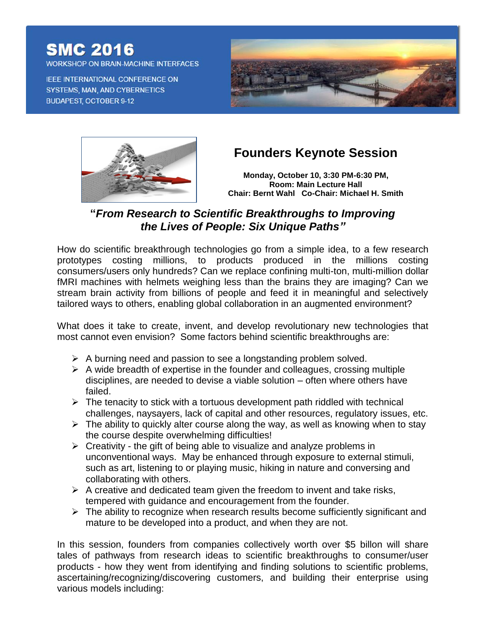## **SMC 2016**

**WORKSHOP ON BRAIN-MACHINE INTERFACES** 

IEEE INTERNATIONAL CONFERENCE ON **SYSTEMS, MAN, AND CYBERNETICS BUDAPEST, OCTOBER 9-12** 





## **Founders Keynote Session**

**Monday, October 10, 3:30 PM-6:30 PM, Room: Main Lecture Hall Chair: Bernt Wahl Co-Chair: Michael H. Smith**

## **"***From Research to Scientific Breakthroughs to Improving the Lives of People: Six Unique Paths"*

How do scientific breakthrough technologies go from a simple idea, to a few research prototypes costing millions, to products produced in the millions costing consumers/users only hundreds? Can we replace confining multi-ton, multi-million dollar fMRI machines with helmets weighing less than the brains they are imaging? Can we stream brain activity from billions of people and feed it in meaningful and selectively tailored ways to others, enabling global collaboration in an augmented environment?

What does it take to create, invent, and develop revolutionary new technologies that most cannot even envision? Some factors behind scientific breakthroughs are:

- $\triangleright$  A burning need and passion to see a longstanding problem solved.
- $\triangleright$  A wide breadth of expertise in the founder and colleagues, crossing multiple disciplines, are needed to devise a viable solution – often where others have failed.
- $\triangleright$  The tenacity to stick with a tortuous development path riddled with technical challenges, naysayers, lack of capital and other resources, regulatory issues, etc.
- $\triangleright$  The ability to quickly alter course along the way, as well as knowing when to stay the course despite overwhelming difficulties!
- $\triangleright$  Creativity the gift of being able to visualize and analyze problems in unconventional ways. May be enhanced through exposure to external stimuli, such as art, listening to or playing music, hiking in nature and conversing and collaborating with others.
- $\triangleright$  A creative and dedicated team given the freedom to invent and take risks, tempered with guidance and encouragement from the founder.
- $\triangleright$  The ability to recognize when research results become sufficiently significant and mature to be developed into a product, and when they are not.

In this session, founders from companies collectively worth over \$5 billon will share tales of pathways from research ideas to scientific breakthroughs to consumer/user products - how they went from identifying and finding solutions to scientific problems, ascertaining/recognizing/discovering customers, and building their enterprise using various models including: